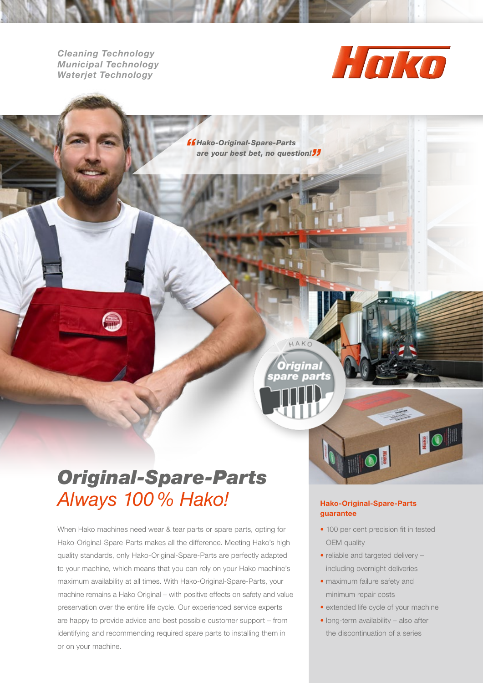*Cleaning Technology Municipal Technology Waterjet Technology*



*" Hako-Original-Spare-Parts*  are your best bet, no question!<sup>"</sup>

HAKO

rigina

## *Original-Spare-Parts Always 100% Hako!*

When Hako machines need wear & tear parts or spare parts, opting for Hako-Original-Spare-Parts makes all the difference. Meeting Hako's high quality standards, only Hako-Original-Spare-Parts are perfectly adapted to your machine, which means that you can rely on your Hako machine's maximum availability at all times. With Hako-Original-Spare-Parts, your machine remains a Hako Original – with positive effects on safety and value preservation over the entire life cycle. Our experienced service experts are happy to provide advice and best possible customer support – from identifying and recommending required spare parts to installing them in or on your machine.

#### Hako-Original-Spare-Parts guarantee

• 100 per cent precision fit in tested OEM quality

10

- reliable and targeted delivery including overnight deliveries
- maximum failure safety and minimum repair costs
- extended life cycle of your machine
- long-term availability also after the discontinuation of a series